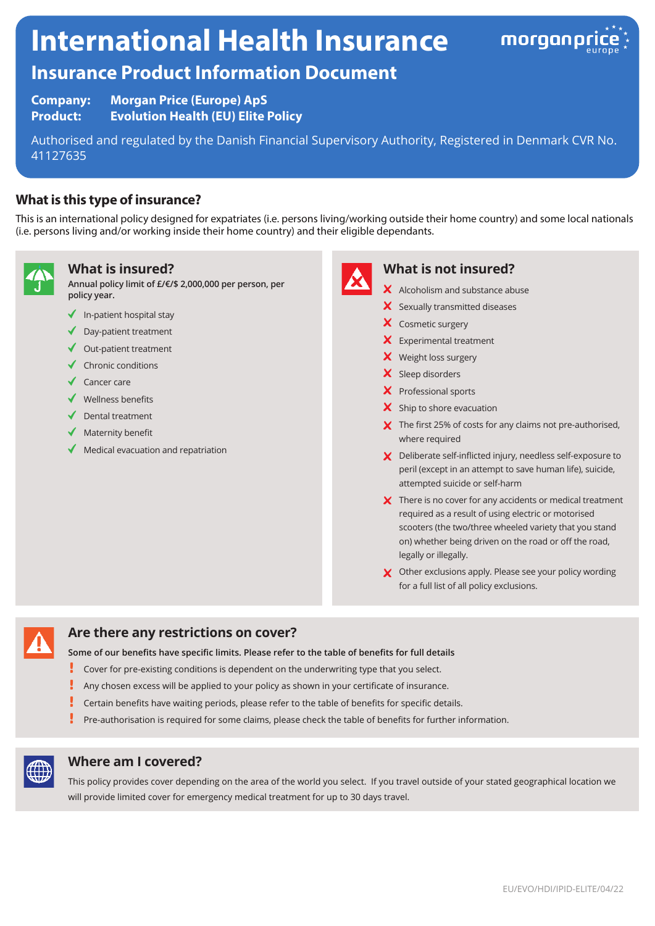# **International Health Insurance**



# **Insurance Product Information Document**

**Company: Morgan Price (Europe) ApS Product: Evolution Health (EU) Elite Policy**

Authorised and regulated by the Danish Financial Supervisory Authority, Registered in Denmark CVR No. 41127635

# **What is this type of insurance?**

This is an international policy designed for expatriates (i.e. persons living/working outside their home country) and some local nationals (i.e. persons living and/or working inside their home country) and their eligible dependants.



#### **What is insured?**

**Annual policy limit of £/€/\$ 2,000,000 per person, per policy year.**

- $\checkmark$  In-patient hospital stay
- ◆ Day-patient treatment
- $\triangleleft$  Out-patient treatment
- $\checkmark$  Chronic conditions
- ◆ Cancer care
- $\checkmark$  Wellness benefits
- Dental treatment
- $\blacklozenge$  Maternity benefit
- Medical evacuation and repatriation



#### **What is not insured?**

- X Alcoholism and substance abuse
- X Sexually transmitted diseases
- X Cosmetic surgery
- Experimental treatment
- X Weight loss surgery
- X Sleep disorders
- X Professional sports
- $\boldsymbol{\times}$  Ship to shore evacuation
- $\boldsymbol{\times}$  The first 25% of costs for any claims not pre-authorised, where required
- X Deliberate self-inflicted injury, needless self-exposure to peril (except in an attempt to save human life), suicide, attempted suicide or self-harm
- X There is no cover for any accidents or medical treatment required as a result of using electric or motorised scooters (the two/three wheeled variety that you stand on) whether being driven on the road or off the road, legally or illegally.
- X Other exclusions apply. Please see your policy wording for a full list of all policy exclusions.



# **Are there any restrictions on cover?**

**Some of our benefits have specific limits. Please refer to the table of benefits for full details**

- Į Cover for pre-existing conditions is dependent on the underwriting type that you select.
- Ţ Any chosen excess will be applied to your policy as shown in your certificate of insurance.
- Certain benefits have waiting periods, please refer to the table of benefits for specific details.
- Pre-authorisation is required for some claims, please check the table of benefits for further information.



#### **Where am I covered?**

This policy provides cover depending on the area of the world you select. If you travel outside of your stated geographical location we will provide limited cover for emergency medical treatment for up to 30 days travel.